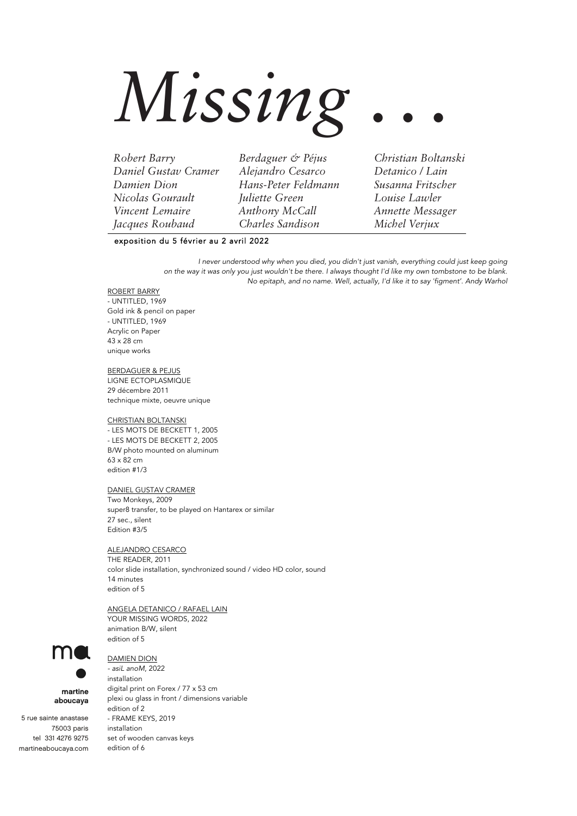# *Missing . . .*

*Robert Barry Berdaguer & Péjus Christian Boltanski Daniel Gustav Cramer Alejandro Cesarco Detanico / Lain Damien Dion Hans-Peter Feldmann Susanna Fritscher Nicolas Gourault Juliette Green Louise Lawler Vincent Lemaire Anthony McCall Annette Messager Jacques Roubaud Charles Sandison Michel Verjux*

# exposition du 5 février au 2 avril 2022

*I never understood why when you died, you didn't just vanish, everything could just keep going*  on the way it was only you just wouldn't be there. I always thought I'd like my own tombstone to be blank. No epitaph, and no name. Well, actually, I'd like it to say 'figment'. Andy Warhol

## ROBERT BARRY

- UNTITLED, 1969 Gold ink & pencil on paper - UNTITLED, 1969 Acrylic on Paper 43 x 28 cm unique works

BERDAGUER & PEJUS LIGNE ECTOPLASMIQUE 29 décembre 2011

technique mixte, oeuvre unique

# CHRISTIAN BOLTANSKI

- LES MOTS DE BECKETT 1, 2005 - LES MOTS DE BECKETT 2, 2005 B/W photo mounted on aluminum 63 x 82 cm edition #1/3

#### DANIEL GUSTAV CRAMER

Two Monkeys, 2009 super8 transfer, to be played on Hantarex or similar 27 sec., silent Edition #3/5

#### ALEJANDRO CESARCO

THE READER, 2011 color slide installation, synchronized sound / video HD color, sound 14 minutes edition of 5

#### ANGELA DETANICO / RAFAEL LAIN

YOUR MISSING WORDS, 2022 animation B/W, silent edition of 5

# DAMIEN DION

*- asiL anoM*, 2022 installation digital print on Forex / 77 x 53 cm plexi ou glass in front / dimensions variable edition of 2 - FRAME KEYS, 2019 installation set of wooden canvas keys edition of 6



# martine aboucaya

 5 rue sainte anastase 75003 paris tel 331 4276 9275 martineaboucaya.com